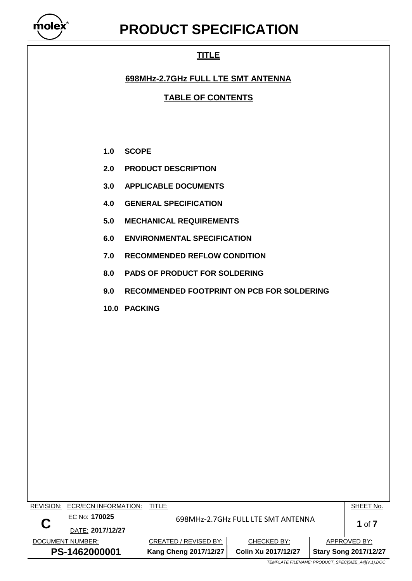

# **PRODUCT SPECIFICATION**

# **TITLE**

## **698MHz-2.7GHz FULL LTE SMT ANTENNA**

**TABLE OF CONTENTS**

- **1.0 SCOPE**
- **2.0 PRODUCT DESCRIPTION**
- **3.0 APPLICABLE DOCUMENTS**
- **4.0 GENERAL SPECIFICATION**
- **5.0 MECHANICAL REQUIREMENTS**
- **6.0 ENVIRONMENTAL SPECIFICATION**
- **7.0 RECOMMENDED REFLOW CONDITION**
- **8.0 PADS OF PRODUCT FOR SOLDERING**
- **9.0 RECOMMENDED FOOTPRINT ON PCB FOR SOLDERING**
- **10.0 PACKING**

| PS-1462000001    |                      | <b>Kang Cheng 2017/12/27</b>       | Colin Xu 2017/12/27 |              | <b>Stary Song 2017/12/27</b> |
|------------------|----------------------|------------------------------------|---------------------|--------------|------------------------------|
| DOCUMENT NUMBER: |                      | CREATED / REVISED BY:              | CHECKED BY:         | APPROVED BY: |                              |
| C                | DATE: 2017/12/27     |                                    |                     |              |                              |
|                  | EC No: 170025        | 698MHz-2.7GHz FULL LTE SMT ANTENNA | 1 of $7$            |              |                              |
| REVISION:        | ECR/ECN INFORMATION: | TITLE:                             |                     |              | SHEET No.                    |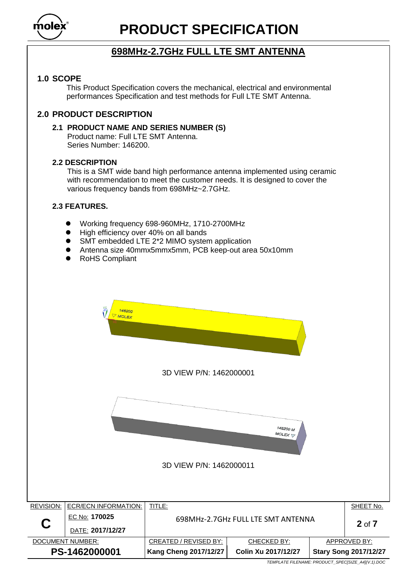

# **PRODUCT SPECIFICATION**

# **698MHz-2.7GHz FULL LTE SMT ANTENNA**

#### **1.0 SCOPE**

This Product Specification covers the mechanical, electrical and environmental performances Specification and test methods for Full LTE SMT Antenna.

#### **2.0 PRODUCT DESCRIPTION**

#### **2.1 PRODUCT NAME AND SERIES NUMBER (S)**

Product name: Full LTE SMT Antenna. Series Number: 146200.

#### **2.2 DESCRIPTION**

This is a SMT wide band high performance antenna implemented using ceramic with recommendation to meet the customer needs. It is designed to cover the various frequency bands from 698MHz~2.7GHz.

#### **2.3 FEATURES.**

- Working frequency 698-960MHz, 1710-2700MHz
- High efficiency over 40% on all bands
- SMT embedded LTE 2\*2 MIMO system application
- Antenna size 40mmx5mmx5mm, PCB keep-out area 50x10mm
- RoHS Compliant

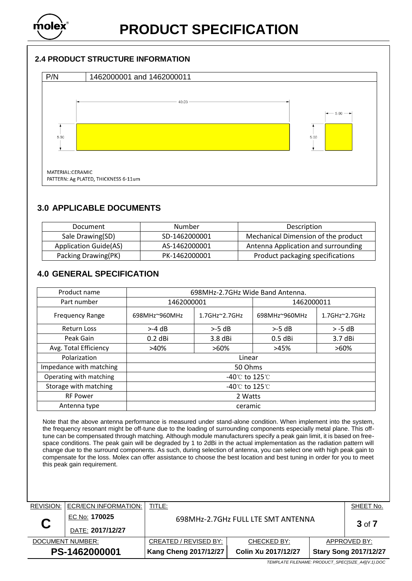

#### **2.4 PRODUCT STRUCTURE INFORMATION**



### **3.0 APPLICABLE DOCUMENTS**

| Document                     | Number        | Description                         |
|------------------------------|---------------|-------------------------------------|
| Sale Drawing(SD)             | SD-1462000001 | Mechanical Dimension of the product |
| <b>Application Guide(AS)</b> | AS-1462000001 | Antenna Application and surrounding |
| Packing Drawing(PK)          | PK-1462000001 | Product packaging specifications    |

## **4.0 GENERAL SPECIFICATION**

| Product name            | 698MHz-2.7GHz Wide Band Antenna.   |                            |               |                            |  |
|-------------------------|------------------------------------|----------------------------|---------------|----------------------------|--|
| Part number             | 1462000001                         |                            | 1462000011    |                            |  |
| <b>Frequency Range</b>  | 698MHz~960MHz                      | $1.7$ GHz $^{\sim}$ 2.7GHz | 698MHz~960MHz | $1.7$ GHz $^{\sim}$ 2.7GHz |  |
| <b>Return Loss</b>      | $> -4$ dB                          | $> -5$ dB                  | $> -5$ dB     | $> -5$ dB                  |  |
| Peak Gain               | $0.2$ dBi                          | $3.8$ dBi                  | $0.5$ dBi     | 3.7 dBi                    |  |
| Avg. Total Efficiency   | >40%                               | $>60\%$                    | >45%          | $>60\%$                    |  |
| Polarization            | Linear                             |                            |               |                            |  |
| Impedance with matching | 50 Ohms                            |                            |               |                            |  |
| Operating with matching | -40 $\degree$ C to 125 $\degree$ C |                            |               |                            |  |
| Storage with matching   | -40 $\degree$ C to 125 $\degree$ C |                            |               |                            |  |
| <b>RF Power</b>         | 2 Watts                            |                            |               |                            |  |
| Antenna type            | ceramic                            |                            |               |                            |  |

Note that the above antenna performance is measured under stand-alone condition. When implement into the system, the frequency resonant might be off-tune due to the loading of surrounding components especially metal plane. This offtune can be compensated through matching. Although module manufacturers specify a peak gain limit, it is based on freespace conditions. The peak gain will be degraded by 1 to 2dBi in the actual implementation as the radiation pattern will change due to the surround components. As such, during selection of antenna, you can select one with high peak gain to compensate for the loss. Molex can offer assistance to choose the best location and best tuning in order for you to meet this peak gain requirement.

| <b>REVISION:</b> | <b>ECR/ECN INFORMATION:</b> | TITLE:                |                                    |              | SHEET No.                    |
|------------------|-----------------------------|-----------------------|------------------------------------|--------------|------------------------------|
| C                | EC No: 170025               |                       | 698MHz-2.7GHz FULL LTE SMT ANTENNA |              |                              |
|                  | DATE: 2017/12/27            |                       | $3$ of $7$                         |              |                              |
| DOCUMENT NUMBER: |                             | CREATED / REVISED BY: | CHECKED BY:                        | APPROVED BY: |                              |
| PS-1462000001    |                             | Kang Cheng 2017/12/27 | Colin Xu 2017/12/27                |              | <b>Stary Song 2017/12/27</b> |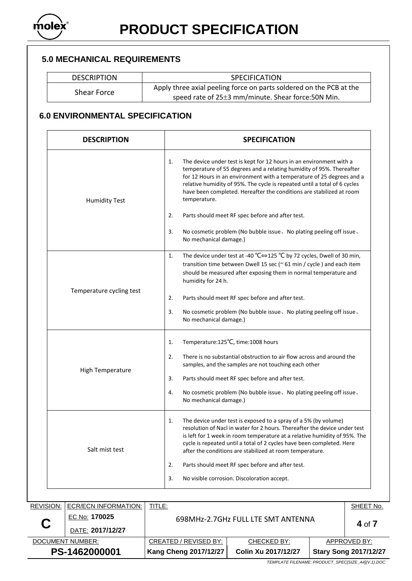

#### **5.0 MECHANICAL REQUIREMENTS**

DESCRIPTION | SPECIFICATION

Shear Force Apply three axial peeling force on parts soldered on the PCB at the speed rate of 25±3 mm/minute. Shear force:50N Min.

### **6.0 ENVIRONMENTAL SPECIFICATION**

| <b>DESCRIPTION</b>       | <b>SPECIFICATION</b>                                                                                                                                                                                                                                                                                                                                                                            |  |  |
|--------------------------|-------------------------------------------------------------------------------------------------------------------------------------------------------------------------------------------------------------------------------------------------------------------------------------------------------------------------------------------------------------------------------------------------|--|--|
| <b>Humidity Test</b>     | The device under test is kept for 12 hours in an environment with a<br>1.<br>temperature of 55 degrees and a relating humidity of 95%. Thereafter<br>for 12 Hours in an environment with a temperature of 25 degrees and a<br>relative humidity of 95%. The cycle is repeated until a total of 6 cycles<br>have been completed. Hereafter the conditions are stabilized at room<br>temperature. |  |  |
|                          | 2.<br>Parts should meet RF spec before and after test.                                                                                                                                                                                                                                                                                                                                          |  |  |
|                          | 3.<br>No cosmetic problem (No bubble issue, No plating peeling off issue,<br>No mechanical damage.)                                                                                                                                                                                                                                                                                             |  |  |
|                          | The device under test at -40 °C⇔125 °C by 72 cycles, Dwell of 30 min,<br>1.<br>transition time between Dwell 15 sec ( $\approx$ 61 min / cycle ) and each item<br>should be measured after exposing them in normal temperature and<br>humidity for 24 h.                                                                                                                                        |  |  |
| Temperature cycling test | 2.<br>Parts should meet RF spec before and after test.                                                                                                                                                                                                                                                                                                                                          |  |  |
|                          | 3.<br>No cosmetic problem (No bubble issue, No plating peeling off issue,<br>No mechanical damage.)                                                                                                                                                                                                                                                                                             |  |  |
|                          | Temperature:125°C, time:1008 hours<br>1.                                                                                                                                                                                                                                                                                                                                                        |  |  |
|                          | There is no substantial obstruction to air flow across and around the<br>2.<br>samples, and the samples are not touching each other                                                                                                                                                                                                                                                             |  |  |
| High Temperature         | 3.<br>Parts should meet RF spec before and after test.                                                                                                                                                                                                                                                                                                                                          |  |  |
|                          | No cosmetic problem (No bubble issue, No plating peeling off issue,<br>4.<br>No mechanical damage.)                                                                                                                                                                                                                                                                                             |  |  |
| Salt mist test           | The device under test is exposed to a spray of a 5% (by volume)<br>1.<br>resolution of Nacl in water for 2 hours. Thereafter the device under test<br>is left for 1 week in room temperature at a relative humidity of 95%. The<br>cycle is repeated until a total of 2 cycles have been completed. Here<br>after the conditions are stabilized at room temperature.                            |  |  |
|                          | Parts should meet RF spec before and after test.<br>2.                                                                                                                                                                                                                                                                                                                                          |  |  |
|                          | No visible corrosion. Discoloration accept.<br>3.                                                                                                                                                                                                                                                                                                                                               |  |  |

| PS-1462000001    |                      | <b>Kang Cheng 2017/12/27</b> | Colin Xu 2017/12/27                |              | <b>Stary Song 2017/12/27</b> |
|------------------|----------------------|------------------------------|------------------------------------|--------------|------------------------------|
| DOCUMENT NUMBER: |                      | CREATED / REVISED BY:        | CHECKED BY:                        | APPROVED BY: |                              |
| Ç                | DATE: 2017/12/27     |                              |                                    |              | 4 of $7$                     |
|                  | EC No: 170025        |                              | 698MHz-2.7GHz FULL LTE SMT ANTENNA |              |                              |
| REVISION:        | ECR/ECN INFORMATION: | TITLE:                       |                                    |              | SHEET No.                    |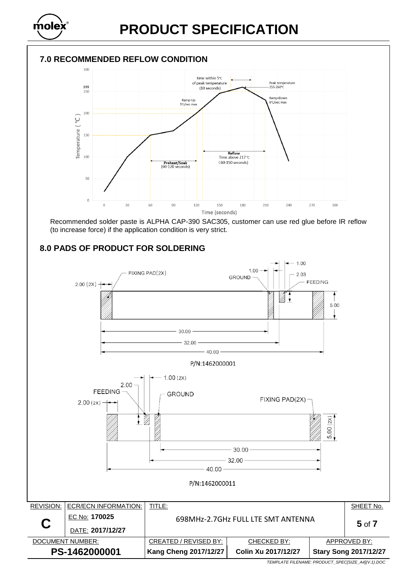

### **7.0 RECOMMENDED REFLOW CONDITION**



Recommended solder paste is ALPHA CAP-390 SAC305, customer can use red glue before IR reflow (to increase force) if the application condition is very strict.

### **8.0 PADS OF PRODUCT FOR SOLDERING**

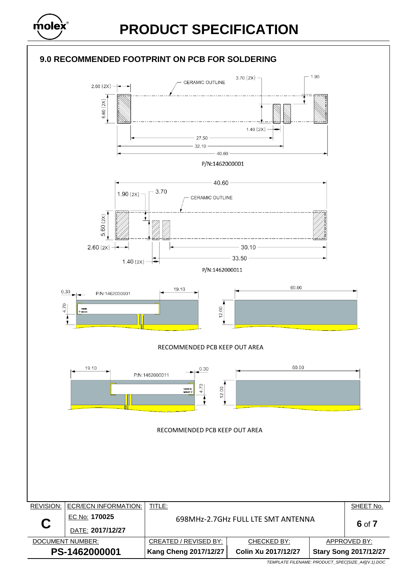